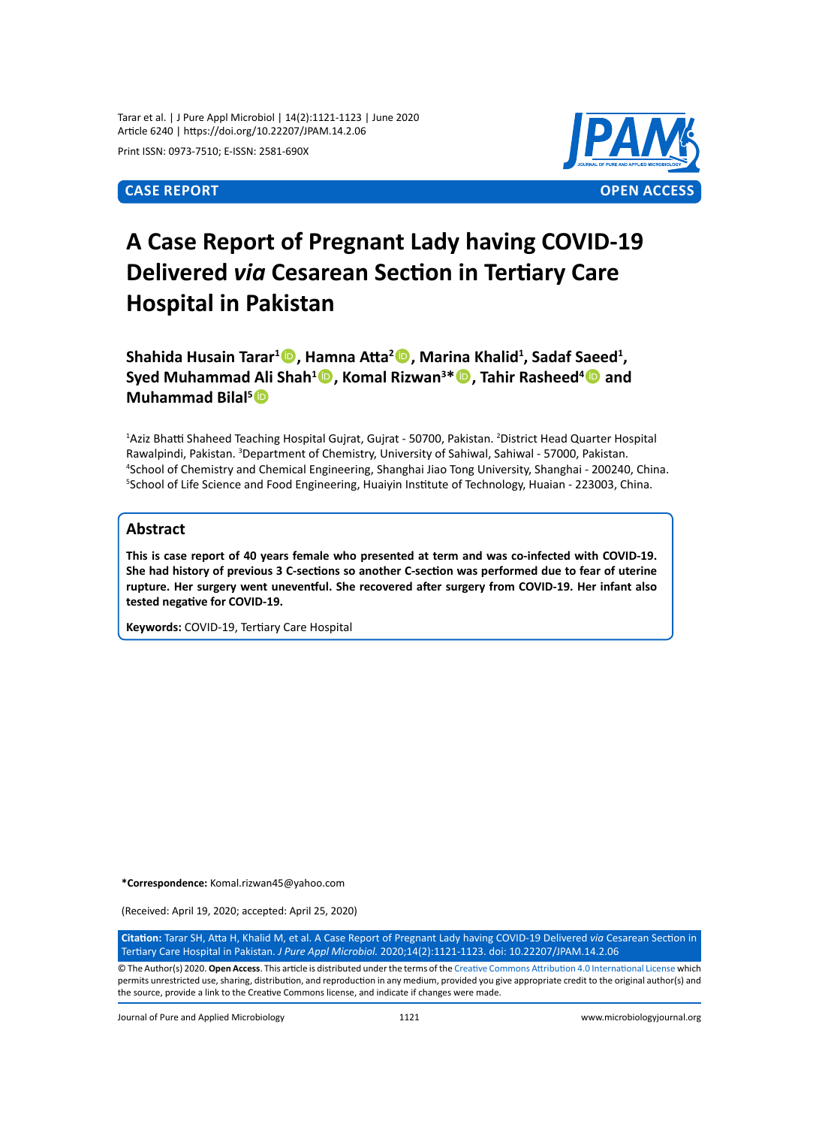Tarar et al. | J Pure Appl Microbiol | 14(2):1121-1123 | June 2020 Article 6240 | https://doi.org/10.22207/JPAM.14.2.06

Print ISSN: 0973-7510; E-ISSN: 2581-690X



# **A Case Report of Pregnant Lady having COVID-19 Delivered** *via* **Cesarean Section in Tertiary Care Hospital in Pakistan**

Shahida Husain Tarar<sup>1</sup> **D**, Hamna Atta<sup>2</sup> **D**, Marina Khalid<sup>1</sup>, Sadaf Saeed<sup>1</sup>, **Syed Muhammad Ali Shah<sup>1</sup><sup>1</sup>, Komal Rizwan<sup>3\*</sup><sup>1</sup>, Tahir Rasheed<sup>4</sup><sup>1</sup> and Muhammad Bilal5**

<sup>1</sup>Aziz Bhatti Shaheed Teaching Hospital Gujrat, Gujrat - 50700, Pakistan. <sup>2</sup>District Head Quarter Hospital Rawalpindi, Pakistan. <sup>3</sup>Department of Chemistry, University of Sahiwal, Sahiwal - 57000, Pakistan. 4 School of Chemistry and Chemical Engineering, Shanghai Jiao Tong University, Shanghai - 200240, China. 5 School of Life Science and Food Engineering, Huaiyin Institute of Technology, Huaian - 223003, China.

# **Abstract**

**This is case report of 40 years female who presented at term and was co-infected with COVID-19. She had history of previous 3 C-sections so another C-section was performed due to fear of uterine rupture. Her surgery went uneventful. She recovered after surgery from COVID-19. Her infant also tested negative for COVID-19.**

**Keywords:** COVID-19, Tertiary Care Hospital

**\*Correspondence:** Komal.rizwan45@yahoo.com

(Received: April 19, 2020; accepted: April 25, 2020)

**Citation:** Tarar SH, Atta H, Khalid M, et al. A Case Report of Pregnant Lady having COVID-19 Delivered *via* Cesarean Section in Tertiary Care Hospital in Pakistan. *J Pure Appl Microbiol.* 2020;14(2):1121-1123. doi: 10.22207/JPAM.14.2.06

© The Author(s) 2020. **Open Access**. This article is distributed under the terms of the [Creative Commons Attribution 4.0 International License](https://creativecommons.org/licenses/by/4.0/) which permits unrestricted use, sharing, distribution, and reproduction in any medium, provided you give appropriate credit to the original author(s) and the source, provide a link to the Creative Commons license, and indicate if changes were made.

Journal of Pure and Applied Microbiology 1121 www.microbiologyjournal.org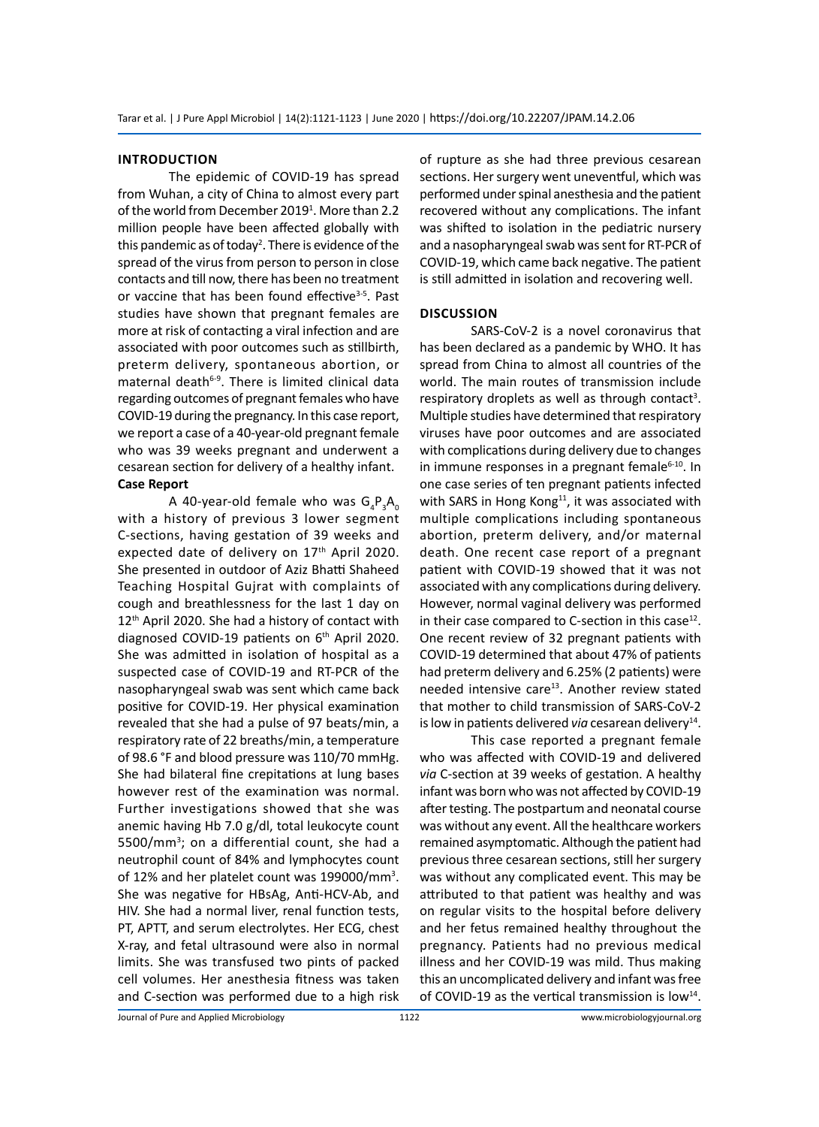#### **Introduction**

The epidemic of COVID-19 has spread from Wuhan, a city of China to almost every part of the world from December 2019<sup>1</sup>. More than 2.2 million people have been affected globally with this pandemic as of today<sup>2</sup>. There is evidence of the spread of the virus from person to person in close contacts and till now, there has been no treatment or vaccine that has been found effective<sup>3-5</sup>. Past studies have shown that pregnant females are more at risk of contacting a viral infection and are associated with poor outcomes such as stillbirth, preterm delivery, spontaneous abortion, or maternal death<sup>6-9</sup>. There is limited clinical data regarding outcomes of pregnant females who have COVID-19 during the pregnancy. In this case report, we report a case of a 40-year-old pregnant female who was 39 weeks pregnant and underwent a cesarean section for delivery of a healthy infant. **Case Report**

A 40-year-old female who was  $\mathsf{G}_4\mathsf{P}_3\mathsf{A}_0$ with a history of previous 3 lower segment C-sections, having gestation of 39 weeks and expected date of delivery on 17<sup>th</sup> April 2020. She presented in outdoor of Aziz Bhatti Shaheed Teaching Hospital Gujrat with complaints of cough and breathlessness for the last 1 day on 12<sup>th</sup> April 2020. She had a history of contact with diagnosed COVID-19 patients on 6<sup>th</sup> April 2020. She was admitted in isolation of hospital as a suspected case of COVID-19 and RT-PCR of the nasopharyngeal swab was sent which came back positive for COVID-19. Her physical examination revealed that she had a pulse of 97 beats/min, a respiratory rate of 22 breaths/min, a temperature of 98.6 °F and blood pressure was 110/70 mmHg. She had bilateral fine crepitations at lung bases however rest of the examination was normal. Further investigations showed that she was anemic having Hb 7.0 g/dl, total leukocyte count 5500/mm<sup>3</sup>; on a differential count, she had a neutrophil count of 84% and lymphocytes count of 12% and her platelet count was 199000/mm<sup>3</sup>. She was negative for HBsAg, Anti-HCV-Ab, and HIV. She had a normal liver, renal function tests, PT, APTT, and serum electrolytes. Her ECG, chest X-ray, and fetal ultrasound were also in normal limits. She was transfused two pints of packed cell volumes. Her anesthesia fitness was taken and C-section was performed due to a high risk

of rupture as she had three previous cesarean sections. Her surgery went uneventful, which was performed under spinal anesthesia and the patient recovered without any complications. The infant was shifted to isolation in the pediatric nursery and a nasopharyngeal swab was sent for RT-PCR of COVID-19, which came back negative. The patient is still admitted in isolation and recovering well.

# **Discussion**

SARS-CoV-2 is a novel coronavirus that has been declared as a pandemic by WHO. It has spread from China to almost all countries of the world. The main routes of transmission include respiratory droplets as well as through contact<sup>3</sup>. Multiple studies have determined that respiratory viruses have poor outcomes and are associated with complications during delivery due to changes in immune responses in a pregnant female<sup>6-10</sup>. In one case series of ten pregnant patients infected with SARS in Hong Kong $^{11}$ , it was associated with multiple complications including spontaneous abortion, preterm delivery, and/or maternal death. One recent case report of a pregnant patient with COVID-19 showed that it was not associated with any complications during delivery. However, normal vaginal delivery was performed in their case compared to C-section in this case $^{12}$ . One recent review of 32 pregnant patients with COVID-19 determined that about 47% of patients had preterm delivery and 6.25% (2 patients) were needed intensive care<sup>13</sup>. Another review stated that mother to child transmission of SARS-CoV-2 is low in patients delivered via cesarean delivery<sup>14</sup>.

This case reported a pregnant female who was affected with COVID-19 and delivered *via* C-section at 39 weeks of gestation. A healthy infant was born who was not affected by COVID-19 after testing. The postpartum and neonatal course was without any event. All the healthcare workers remained asymptomatic. Although the patient had previous three cesarean sections, still her surgery was without any complicated event. This may be attributed to that patient was healthy and was on regular visits to the hospital before delivery and her fetus remained healthy throughout the pregnancy. Patients had no previous medical illness and her COVID-19 was mild. Thus making this an uncomplicated delivery and infant was free of COVID-19 as the vertical transmission is low $^{14}$ .